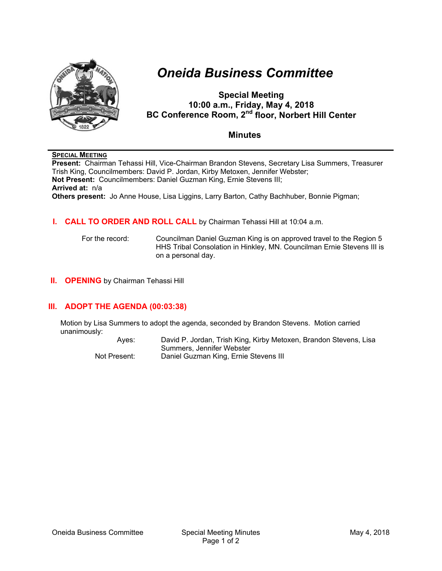

# *Oneida Business Committee*

# **Special Meeting 10:00 a.m., Friday, May 4, 2018 BC Conference Room, 2nd floor, Norbert Hill Center**

# **Minutes**

#### **SPECIAL MEETING**

**Present:** Chairman Tehassi Hill, Vice-Chairman Brandon Stevens, Secretary Lisa Summers, Treasurer Trish King, Councilmembers: David P. Jordan, Kirby Metoxen, Jennifer Webster; **Not Present:** Councilmembers: Daniel Guzman King, Ernie Stevens III; **Arrived at:** n/a **Others present:** Jo Anne House, Lisa Liggins, Larry Barton, Cathy Bachhuber, Bonnie Pigman;

### **I. CALL TO ORDER AND ROLL CALL** by Chairman Tehassi Hill at 10:04 a.m.

For the record: Councilman Daniel Guzman King is on approved travel to the Region 5 HHS Tribal Consolation in Hinkley, MN. Councilman Ernie Stevens III is on a personal day.

**II. OPENING** by Chairman Tehassi Hill

# **III. ADOPT THE AGENDA (00:03:38)**

Motion by Lisa Summers to adopt the agenda, seconded by Brandon Stevens. Motion carried unanimously:

> Ayes: David P. Jordan, Trish King, Kirby Metoxen, Brandon Stevens, Lisa Summers, Jennifer Webster Not Present: Daniel Guzman King, Ernie Stevens III